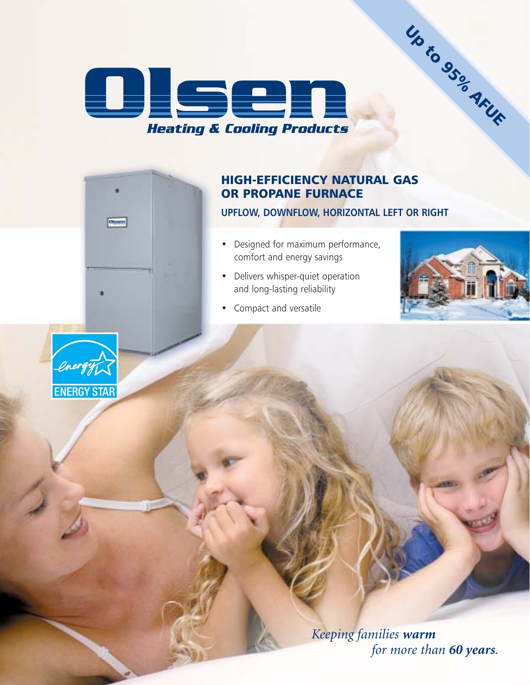

### HIGH-EFFICIENCY NATURAL GAS OR PROPANE FURNACE

#### **UPFLOW, DOWNFLOW, HORIZONTAL LEFT OR RIGHT**

- Designed for maximum performance, comfort and energy savings
- Delivers whisper-quiet operation and long-lasting reliability



Up to 95% AFUE

• Compact and versatile



Obser

*Keeping families warm for more than 60 years.*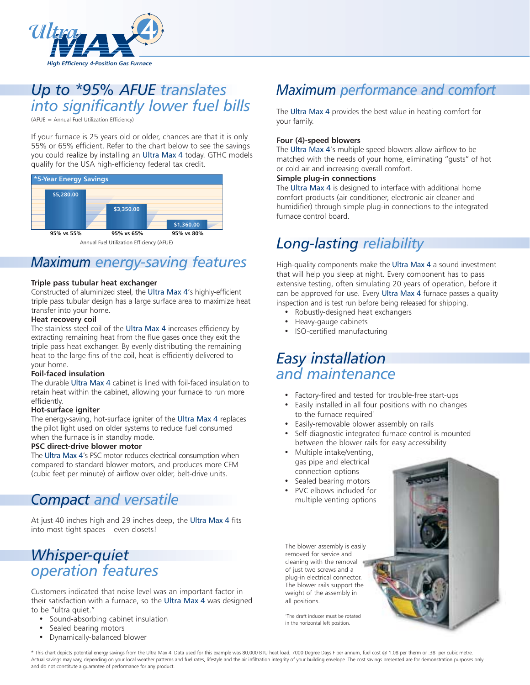

## *Up to \*95% AFUE translates into significantly lower fuel bills*

(AFUE = Annual Fuel Utilization Efficiency)

If your furnace is 25 years old or older, chances are that it is only 55% or 65% efficient. Refer to the chart below to see the savings you could realize by installing an Ultra Max 4 today. GTHC models qualify for the USA high-efficiency federal tax credit.



## *Maximum energy-saving features*

#### **Triple pass tubular heat exchanger**

Constructed of aluminized steel, the Ultra Max 4's highly-efficient triple pass tubular design has a large surface area to maximize heat transfer into your home.

#### **Heat recovery coil**

The stainless steel coil of the Ultra Max 4 increases efficiency by extracting remaining heat from the flue gases once they exit the triple pass heat exchanger. By evenly distributing the remaining heat to the large fins of the coil, heat is efficiently delivered to your home.

#### **Foil-faced insulation**

The durable Ultra Max 4 cabinet is lined with foil-faced insulation to retain heat within the cabinet, allowing your furnace to run more efficiently.

#### **Hot-surface igniter**

The energy-saving, hot-surface igniter of the Ultra Max 4 replaces the pilot light used on older systems to reduce fuel consumed when the furnace is in standby mode.

#### **PSC direct-drive blower motor**

The Ultra Max 4's PSC motor reduces electrical consumption when compared to standard blower motors, and produces more CFM (cubic feet per minute) of airflow over older, belt-drive units.

## *Compact and versatile*

At just 40 inches high and 29 inches deep, the Ultra Max 4 fits into most tight spaces – even closets!

## *Whisper-quiet operation features*

Customers indicated that noise level was an important factor in their satisfaction with a furnace, so the Ultra Max 4 was designed to be "ultra quiet."

- Sound-absorbing cabinet insulation
- Sealed bearing motors
- Dynamically-balanced blower

## *Maximum performance and comfort*

The Ultra Max 4 provides the best value in heating comfort for your family.

#### **Four (4)-speed blowers**

The Ultra Max 4's multiple speed blowers allow airflow to be matched with the needs of your home, eliminating "gusts" of hot or cold air and increasing overall comfort.

#### **Simple plug-in connections**

The Ultra Max 4 is designed to interface with additional home comfort products (air conditioner, electronic air cleaner and humidifier) through simple plug-in connections to the integrated furnace control board.

## *Long-lasting reliability*

High-quality components make the Ultra Max 4 a sound investment that will help you sleep at night. Every component has to pass extensive testing, often simulating 20 years of operation, before it can be approved for use. Every Ultra Max 4 furnace passes a quality inspection and is test run before being released for shipping.

- Robustly-designed heat exchangers
- Heavy-gauge cabinets
- ISO-certified manufacturing

## *Easy installation and maintenance*

- Factory-fired and tested for trouble-free start-ups
- Easily installed in all four positions with no changes to the furnace required<sup>1</sup>
- Easily-removable blower assembly on rails
- Self-diagnostic integrated furnace control is mounted between the blower rails for easy accessibility
- Multiple intake/venting, gas pipe and electrical connection options
- Sealed bearing motors
- PVC elbows included for multiple venting options

The blower assembly is easily removed for service and cleaning with the removal of just two screws and a plug-in electrical connector. The blower rails support the weight of the assembly in all positions.

1 The draft inducer must be rotated in the horizontal left position.

\* This chart depicts potential energy savings from the Ultra Max 4. Data used for this example was 80,000 BTU heat load, 7000 Degree Days F per annum, fuel cost @ 1.08 per therm or .38 per cubic metre. Actual savings may vary, depending on your local weather patterns and fuel rates, lifestyle and the air infiltration integrity of your building envelope. The cost savings presented are for demonstration purposes only and do not constitute a guarantee of performance for any product.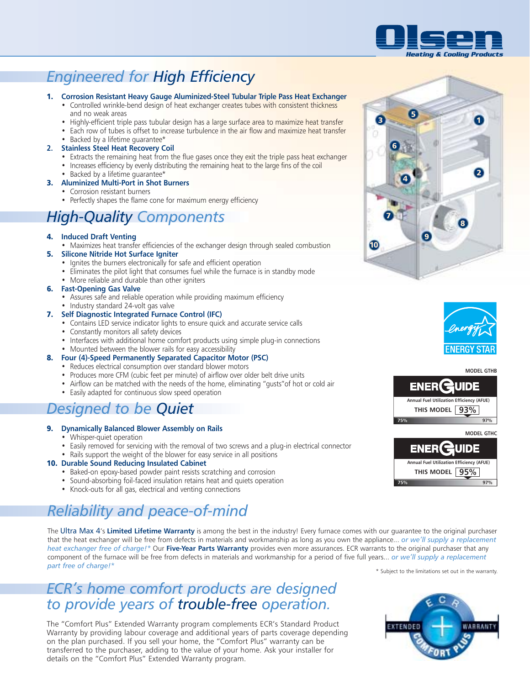

## *Engineered for High Efficiency*

#### 1. **Corrosion Resistant Heavy Gauge Aluminized-Steel Tubular Triple Pass Heat Exchanger**

- Controlled wrinkle-bend design of heat exchanger creates tubes with consistent thickness
	- and no weak areas
	- Highly-efficient triple pass tubular design has a large surface area to maximize heat transfer • Each row of tubes is offset to increase turbulence in the air flow and maximize heat transfer
	-
- Backed by a lifetime guarantee\*

#### **2. Stainless Steel Heat Recovery Coil**

- Extracts the remaining heat from the flue gases once they exit the triple pass heat exchanger
- Increases efficiency by evenly distributing the remaining heat to the large fins of the coil
- Backed by a lifetime guarantee\*

#### 3. **Aluminized Multi-Port in Shot Burners**

- Corrosion resistant burners
- Perfectly shapes the flame cone for maximum energy efficiency

## *High-Quality Components*

#### 4. **Induced Draft Venting**

- Maximizes heat transfer efficiencies of the exchanger design through sealed combustion
- 5. **Silicone Nitride Hot Surface Igniter**
	- Ignites the burners electronically for safe and efficient operation
	- Eliminates the pilot light that consumes fuel while the furnace is in standby mode
	- More reliable and durable than other igniters

#### 6. **Fast-Opening Gas Valve**

- Assures safe and reliable operation while providing maximum efficiency
- Industry standard 24-volt gas valve
- 7. **Self Diagnostic Integrated Furnace Control (IFC)**
	- Contains LED service indicator lights to ensure quick and accurate service calls
	- Constantly monitors all safety devices
	- Interfaces with additional home comfort products using simple plug-in connections
	- Mounted between the blower rails for easy accessibility
- 8. **Four (4)-Speed Permanently Separated Capacitor Motor (PSC)**
	- Reduces electrical consumption over standard blower motors
	- Produces more CFM (cubic feet per minute) of airflow over older belt drive units
	- Airflow can be matched with the needs of the home, eliminating "gusts"of hot or cold air
	- Easily adapted for continuous slow speed operation

## *Designed to be Quiet*

#### 9. **Dynamically Balanced Blower Assembly on Rails**

- Whisper-quiet operation
- Easily removed for servicing with the removal of two screws and a plug-in electrical connector
- Rails support the weight of the blower for easy service in all positions

#### 10. **Durable Sound Reducing Insulated Cabinet**

- Baked-on epoxy-based powder paint resists scratching and corrosion
- Sound-absorbing foil-faced insulation retains heat and quiets operation
- Knock-outs for all gas, electrical and venting connections

## *Reliability and peace-of-mind*

The Ultra Max 4's **Limited Lifetime Warranty** is among the best in the industry! Every furnace comes with our guarantee to the original purchaser that the heat exchanger will be free from defects in materials and workmanship as long as you own the appliance... *or we'll supply a replacement heat exchanger free of charge!\** Our **Five-Year Parts Warranty** provides even more assurances. ECR warrants to the original purchaser that any component of the furnace will be free from defects in materials and workmanship for a period of five full years... *or we'll supply a replacement* **part free of charge!**\*

## *ECR's home comfort products are designed to provide years of trouble-free operation.*

The "Comfort Plus" Extended Warranty program complements ECR's Standard Product Warranty by providing labour coverage and additional years of parts coverage depending on the plan purchased. If you sell your home, the "Comfort Plus" warranty can be transferred to the purchaser, adding to the value of your home. Ask your installer for details on the "Comfort Plus" Extended Warranty program.





**MODEL GTHB**